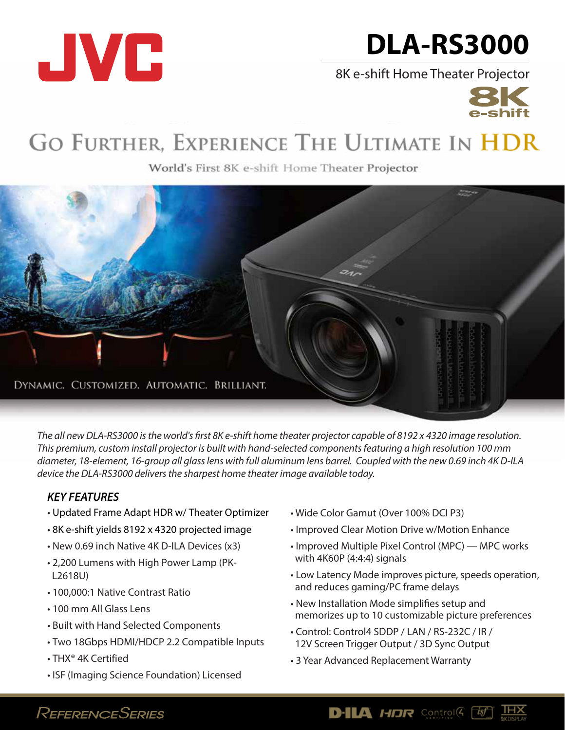

# **DLA-RS3000**

8K e-shift Home Theater Projector



## GO FURTHER, EXPERIENCE THE ULTIMATE IN HDR

World's First 8K e-shift Home Theater Projector



The all new DLA-RS3000 is the world's first 8K e-shift home theater projector capable of 8192 x 4320 image resolution. *This premium, custom install projector is built with hand-selected components featuring a high resolution 100 mm diameter, 18-element, 16-group all glass lens with full aluminum lens barrel. Coupled with the new 0.69 inch 4K D-ILA device the DLA-RS3000 delivers the sharpest home theater image available today.*

#### *KEY FEATURES*

- Updated Frame Adapt HDR w/ Theater Optimizer
- 8K e-shift yields 8192 x 4320 projected image
- New 0.69 inch Native 4K D-ILA Devices (x3)
- 2,200 Lumens with High Power Lamp (PK-L2618U)
- 100,000:1 Native Contrast Ratio
- 100 mm All Glass Lens
- Built with Hand Selected Components
- Two 18Gbps HDMI/HDCP 2.2 Compatible Inputs
- THX® 4K Certified
- ISF (Imaging Science Foundation) Licensed
- Wide Color Gamut (Over 100% DCI P3)
- Improved Clear Motion Drive w/Motion Enhance
- Improved Multiple Pixel Control (MPC) MPC works with 4K60P (4:4:4) signals
- Low Latency Mode improves picture, speeds operation, and reduces gaming/PC frame delays
- New Installation Mode simplifies setup and memorizes up to 10 customizable picture preferences

**D-ILA HDR** Control  $\left(\begin{array}{cc} \overline{16} \end{array}\right)$ 

- Control: Control4 SDDP / LAN / RS-232C / IR / 12V Screen Trigger Output / 3D Sync Output
- 3 Year Advanced Replacement Warranty

## REFERENCESERIES